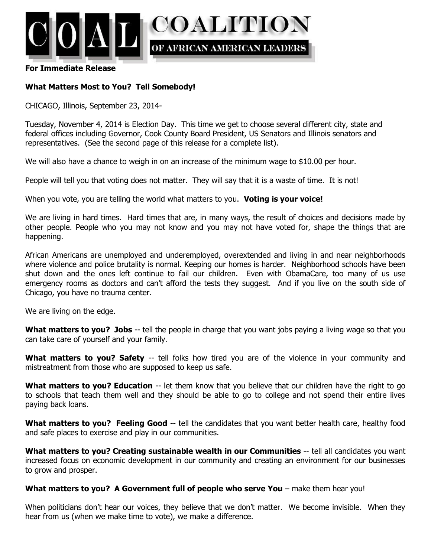

#### **For Immediate Release**

# **What Matters Most to You? Tell Somebody!**

CHICAGO, Illinois, September 23, 2014-

Tuesday, November 4, 2014 is Election Day. This time we get to choose several different city, state and federal offices including Governor, Cook County Board President, US Senators and Illinois senators and representatives. (See the second page of this release for a complete list).

We will also have a chance to weigh in on an increase of the minimum wage to \$10.00 per hour.

People will tell you that voting does not matter. They will say that it is a waste of time. It is not!

When you vote, you are telling the world what matters to you. **Voting is your voice!**

We are living in hard times. Hard times that are, in many ways, the result of choices and decisions made by other people. People who you may not know and you may not have voted for, shape the things that are happening.

African Americans are unemployed and underemployed, overextended and living in and near neighborhoods where violence and police brutality is normal. Keeping our homes is harder. Neighborhood schools have been shut down and the ones left continue to fail our children. Even with ObamaCare, too many of us use emergency rooms as doctors and can't afford the tests they suggest. And if you live on the south side of Chicago, you have no trauma center.

We are living on the edge.

**What matters to you? Jobs** -- tell the people in charge that you want jobs paying a living wage so that you can take care of yourself and your family.

**What matters to you? Safety** -- tell folks how tired you are of the violence in your community and mistreatment from those who are supposed to keep us safe.

**What matters to you? Education** -- let them know that you believe that our children have the right to go to schools that teach them well and they should be able to go to college and not spend their entire lives paying back loans.

**What matters to you? Feeling Good** -- tell the candidates that you want better health care, healthy food and safe places to exercise and play in our communities.

**What matters to you? Creating sustainable wealth in our Communities** -- tell all candidates you want increased focus on economic development in our community and creating an environment for our businesses to grow and prosper.

### **What matters to you? A Government full of people who serve You** – make them hear you!

When politicians don't hear our voices, they believe that we don't matter. We become invisible. When they hear from us (when we make time to vote), we make a difference.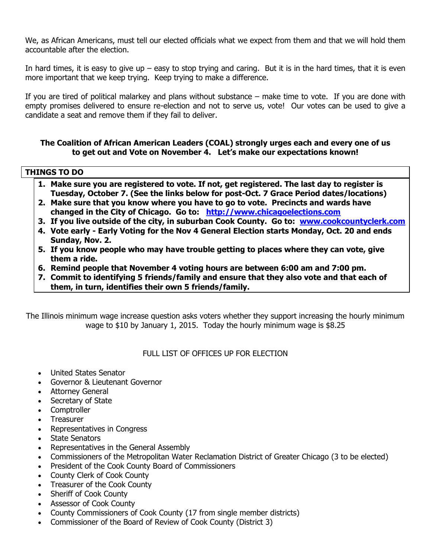We, as African Americans, must tell our elected officials what we expect from them and that we will hold them accountable after the election.

In hard times, it is easy to give up – easy to stop trying and caring. But it is in the hard times, that it is even more important that we keep trying. Keep trying to make a difference.

If you are tired of political malarkey and plans without substance – make time to vote. If you are done with empty promises delivered to ensure re-election and not to serve us, vote! Our votes can be used to give a candidate a seat and remove them if they fail to deliver.

## **The Coalition of African American Leaders (COAL) strongly urges each and every one of us to get out and Vote on November 4. Let's make our expectations known!**

# **THINGS TO DO**

- **1. Make sure you are registered to vote. If not, get registered. The last day to register is Tuesday, October 7. (See the links below for post-Oct. 7 Grace Period dates/locations)**
- **2. Make sure that you know where you have to go to vote. Precincts and wards have changed in the City of Chicago. Go to: [http://www.chicagoelections.com](http://www.chicagoelections.com/)**
- **3. If you live outside of the city, in suburban Cook County. Go to: [www.cookcountyclerk.com](http://www.cookcountyclerk.com/)**
- **4. Vote early - Early Voting for the Nov 4 General Election starts Monday, Oct. 20 and ends Sunday, Nov. 2.**
- **5. If you know people who may have trouble getting to places where they can vote, give them a ride.**
- **6. Remind people that November 4 voting hours are between 6:00 am and 7:00 pm.**
- **7. Commit to identifying 5 friends/family and ensure that they also vote and that each of them, in turn, identifies their own 5 friends/family.**

The Illinois minimum wage increase question asks voters whether they support increasing the hourly minimum wage to \$10 by January 1, 2015. Today the hourly minimum wage is \$8.25

### FULL LIST OF OFFICES UP FOR FLECTION

- United States Senator
- Governor & Lieutenant Governor
- Attorney General
- Secretary of State
- Comptroller
- **Treasurer**
- Representatives in Congress
- State Senators
- Representatives in the General Assembly
- Commissioners of the Metropolitan Water Reclamation District of Greater Chicago (3 to be elected)
- President of the Cook County Board of Commissioners
- County Clerk of Cook County
- Treasurer of the Cook County
- Sheriff of Cook County
- Assessor of Cook County
- County Commissioners of Cook County (17 from single member districts)
- Commissioner of the Board of Review of Cook County (District 3)